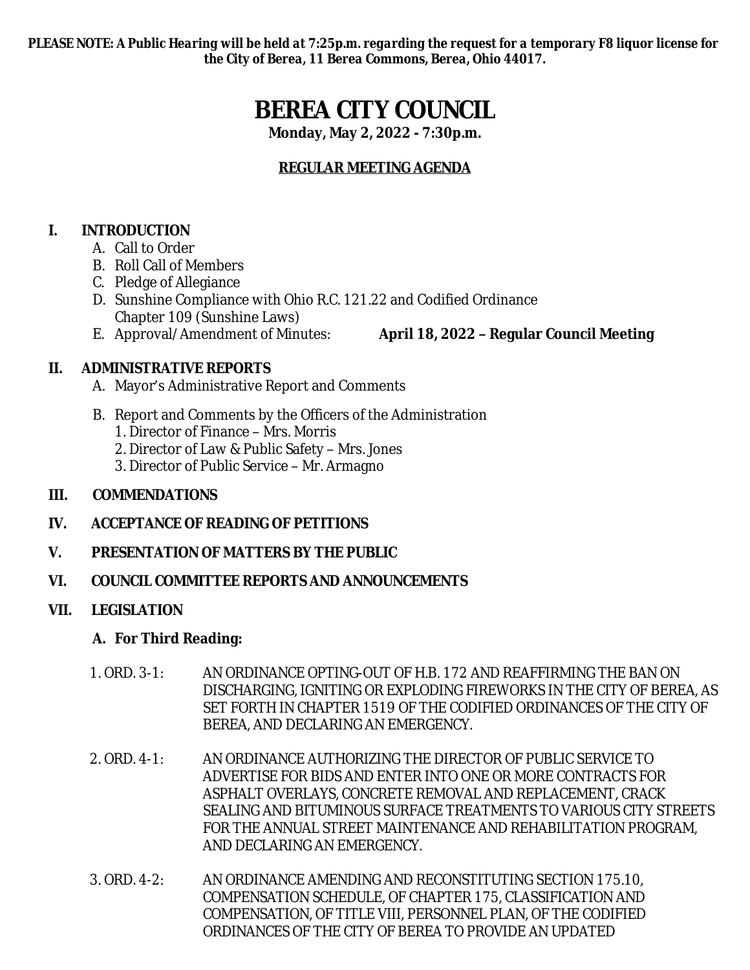*PLEASE NOTE: A Public Hearing will be held at 7:25p.m. regarding the request for a temporary F8 liquor license for the City of Berea, 11 Berea Commons, Berea, Ohio 44017.*

# **BEREA CITY COUNCIL**

**Monday, May 2, 2022 - 7:30p.m.**

# **REGULAR MEETING AGENDA**

# **I. INTRODUCTION**

- A. Call to Order
- B. Roll Call of Members
- C. Pledge of Allegiance
- D. Sunshine Compliance with Ohio R.C. 121.22 and Codified Ordinance Chapter 109 (Sunshine Laws)
- 

# **II. ADMINISTRATIVE REPORTS**

- A. Mayor's Administrative Report and Comments
- B. Report and Comments by the Officers of the Administration
	- 1. Director of Finance Mrs. Morris
	- 2. Director of Law & Public Safety Mrs. Jones
	- 3. Director of Public Service Mr. Armagno

# **III. COMMENDATIONS**

# **IV. ACCEPTANCE OF READING OF PETITIONS**

**V. PRESENTATION OF MATTERS BY THE PUBLIC**

#### **VI. COUNCIL COMMITTEE REPORTS AND ANNOUNCEMENTS**

# **VII. LEGISLATION**

# **A. For Third Reading:**

- 1. ORD. 3-1: AN ORDINANCE OPTING-OUT OF H.B. 172 AND REAFFIRMING THE BAN ON DISCHARGING, IGNITING OR EXPLODING FIREWORKS IN THE CITY OF BEREA, AS SET FORTH IN CHAPTER 1519 OF THE CODIFIED ORDINANCES OF THE CITY OF BEREA, AND DECLARING AN EMERGENCY.
- 2. ORD. 4-1: AN ORDINANCE AUTHORIZING THE DIRECTOR OF PUBLIC SERVICE TO ADVERTISE FOR BIDS AND ENTER INTO ONE OR MORE CONTRACTS FOR ASPHALT OVERLAYS, CONCRETE REMOVAL AND REPLACEMENT, CRACK SEALING AND BITUMINOUS SURFACE TREATMENTS TO VARIOUS CITY STREETS FOR THE ANNUAL STREET MAINTENANCE AND REHABILITATION PROGRAM, AND DECLARING AN EMERGENCY.
- 3. ORD. 4-2: AN ORDINANCE AMENDING AND RECONSTITUTING SECTION 175.10, COMPENSATION SCHEDULE, OF CHAPTER 175, CLASSIFICATION AND COMPENSATION, OF TITLE VIII, PERSONNEL PLAN, OF THE CODIFIED ORDINANCES OF THE CITY OF BEREA TO PROVIDE AN UPDATED

E. Approval/Amendment of Minutes: **April 18, 2022 – Regular Council Meeting**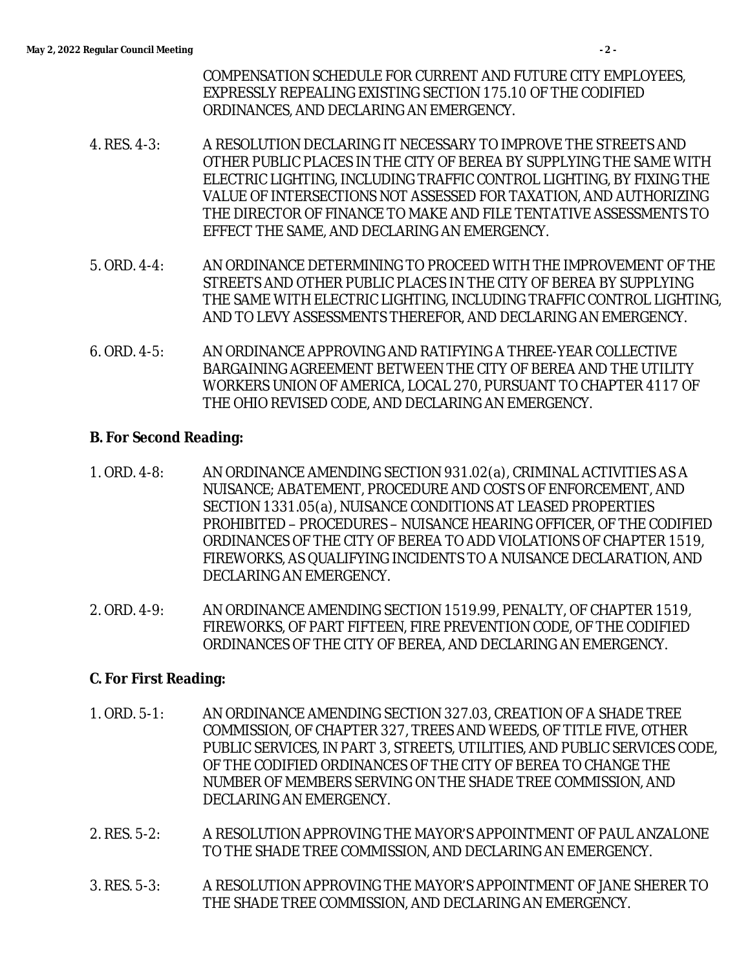- 4. RES. 4-3: A RESOLUTION DECLARING IT NECESSARY TO IMPROVE THE STREETS AND OTHER PUBLIC PLACES IN THE CITY OF BEREA BY SUPPLYING THE SAME WITH ELECTRIC LIGHTING, INCLUDING TRAFFIC CONTROL LIGHTING, BY FIXING THE VALUE OF INTERSECTIONS NOT ASSESSED FOR TAXATION, AND AUTHORIZING THE DIRECTOR OF FINANCE TO MAKE AND FILE TENTATIVE ASSESSMENTS TO EFFECT THE SAME, AND DECLARING AN EMERGENCY.
- 5. ORD. 4-4: AN ORDINANCE DETERMINING TO PROCEED WITH THE IMPROVEMENT OF THE STREETS AND OTHER PUBLIC PLACES IN THE CITY OF BEREA BY SUPPLYING THE SAME WITH ELECTRIC LIGHTING, INCLUDING TRAFFIC CONTROL LIGHTING, AND TO LEVY ASSESSMENTS THEREFOR, AND DECLARING AN EMERGENCY.
- 6. ORD. 4-5: AN ORDINANCE APPROVING AND RATIFYING A THREE-YEAR COLLECTIVE BARGAINING AGREEMENT BETWEEN THE CITY OF BEREA AND THE UTILITY WORKERS UNION OF AMERICA, LOCAL 270, PURSUANT TO CHAPTER 4117 OF THE OHIO REVISED CODE, AND DECLARING AN EMERGENCY.

#### **B. For Second Reading:**

- 1. ORD. 4-8: AN ORDINANCE AMENDING SECTION 931.02(a), CRIMINAL ACTIVITIES AS A NUISANCE; ABATEMENT, PROCEDURE AND COSTS OF ENFORCEMENT, AND SECTION 1331.05(a), NUISANCE CONDITIONS AT LEASED PROPERTIES PROHIBITED – PROCEDURES – NUISANCE HEARING OFFICER, OF THE CODIFIED ORDINANCES OF THE CITY OF BEREA TO ADD VIOLATIONS OF CHAPTER 1519, FIREWORKS, AS QUALIFYING INCIDENTS TO A NUISANCE DECLARATION, AND DECLARING AN EMERGENCY.
- 2. ORD. 4-9: AN ORDINANCE AMENDING SECTION 1519.99, PENALTY, OF CHAPTER 1519, FIREWORKS, OF PART FIFTEEN, FIRE PREVENTION CODE, OF THE CODIFIED ORDINANCES OF THE CITY OF BEREA, AND DECLARING AN EMERGENCY.

# **C. For First Reading:**

- 1. ORD. 5-1: AN ORDINANCE AMENDING SECTION 327.03, CREATION OF A SHADE TREE COMMISSION, OF CHAPTER 327, TREES AND WEEDS, OF TITLE FIVE, OTHER PUBLIC SERVICES, IN PART 3, STREETS, UTILITIES, AND PUBLIC SERVICES CODE, OF THE CODIFIED ORDINANCES OF THE CITY OF BEREA TO CHANGE THE NUMBER OF MEMBERS SERVING ON THE SHADE TREE COMMISSION, AND DECLARING AN EMERGENCY.
- 2. RES. 5-2: A RESOLUTION APPROVING THE MAYOR'S APPOINTMENT OF PAUL ANZALONE TO THE SHADE TREE COMMISSION, AND DECLARING AN EMERGENCY.
- 3. RES. 5-3: A RESOLUTION APPROVING THE MAYOR'S APPOINTMENT OF JANE SHERER TO THE SHADE TREE COMMISSION, AND DECLARING AN EMERGENCY.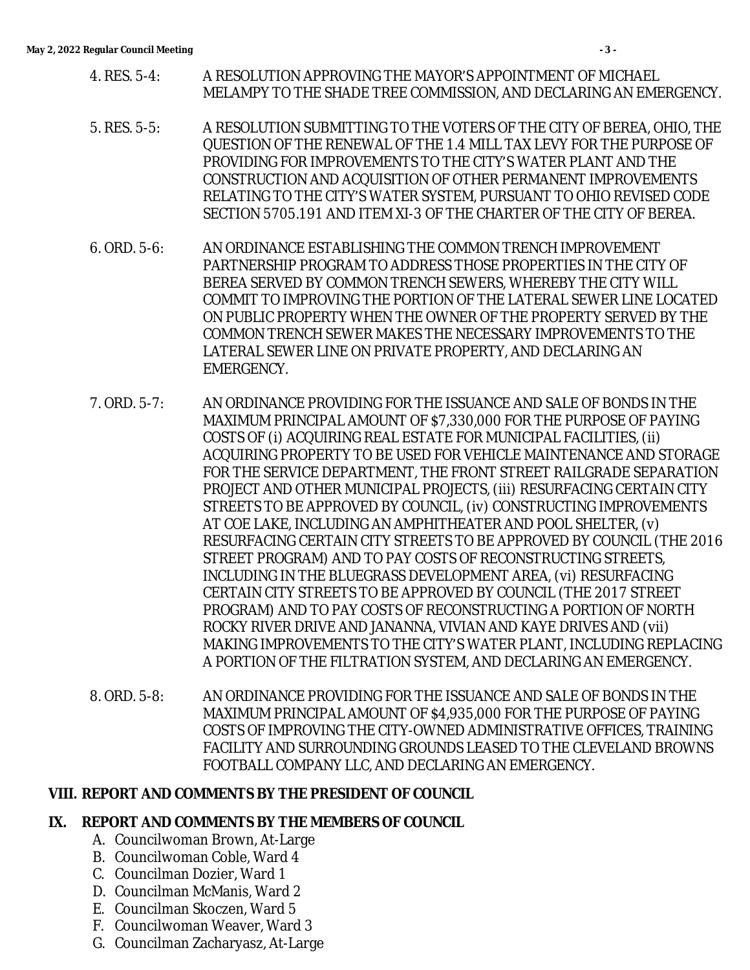- 4. RES. 5-4: A RESOLUTION APPROVING THE MAYOR'S APPOINTMENT OF MICHAEL MELAMPY TO THE SHADE TREE COMMISSION, AND DECLARING AN EMERGENCY.
- 5. RES. 5-5: A RESOLUTION SUBMITTING TO THE VOTERS OF THE CITY OF BEREA, OHIO, THE QUESTION OF THE RENEWAL OF THE 1.4 MILL TAX LEVY FOR THE PURPOSE OF PROVIDING FOR IMPROVEMENTS TO THE CITY'S WATER PLANT AND THE CONSTRUCTION AND ACQUISITION OF OTHER PERMANENT IMPROVEMENTS RELATING TO THE CITY'S WATER SYSTEM, PURSUANT TO OHIO REVISED CODE SECTION 5705.191 AND ITEM XI-3 OF THE CHARTER OF THE CITY OF BEREA.
- 6. ORD. 5-6: AN ORDINANCE ESTABLISHING THE COMMON TRENCH IMPROVEMENT PARTNERSHIP PROGRAM TO ADDRESS THOSE PROPERTIES IN THE CITY OF BEREA SERVED BY COMMON TRENCH SEWERS, WHEREBY THE CITY WILL COMMIT TO IMPROVING THE PORTION OF THE LATERAL SEWER LINE LOCATED ON PUBLIC PROPERTY WHEN THE OWNER OF THE PROPERTY SERVED BY THE COMMON TRENCH SEWER MAKES THE NECESSARY IMPROVEMENTS TO THE LATERAL SEWER LINE ON PRIVATE PROPERTY, AND DECLARING AN EMERGENCY.
- 7. ORD. 5-7: AN ORDINANCE PROVIDING FOR THE ISSUANCE AND SALE OF BONDS IN THE MAXIMUM PRINCIPAL AMOUNT OF \$7,330,000 FOR THE PURPOSE OF PAYING COSTS OF (i) ACQUIRING REAL ESTATE FOR MUNICIPAL FACILITIES, (ii) ACQUIRING PROPERTY TO BE USED FOR VEHICLE MAINTENANCE AND STORAGE FOR THE SERVICE DEPARTMENT, THE FRONT STREET RAILGRADE SEPARATION PROJECT AND OTHER MUNICIPAL PROJECTS, (iii) RESURFACING CERTAIN CITY STREETS TO BE APPROVED BY COUNCIL, (iv) CONSTRUCTING IMPROVEMENTS AT COE LAKE, INCLUDING AN AMPHITHEATER AND POOL SHELTER, (v) RESURFACING CERTAIN CITY STREETS TO BE APPROVED BY COUNCIL (THE 2016 STREET PROGRAM) AND TO PAY COSTS OF RECONSTRUCTING STREETS, INCLUDING IN THE BLUEGRASS DEVELOPMENT AREA, (vi) RESURFACING CERTAIN CITY STREETS TO BE APPROVED BY COUNCIL (THE 2017 STREET PROGRAM) AND TO PAY COSTS OF RECONSTRUCTING A PORTION OF NORTH ROCKY RIVER DRIVE AND JANANNA, VIVIAN AND KAYE DRIVES AND (vii) MAKING IMPROVEMENTS TO THE CITY'S WATER PLANT, INCLUDING REPLACING A PORTION OF THE FILTRATION SYSTEM, AND DECLARING AN EMERGENCY.
- 8. ORD. 5-8: AN ORDINANCE PROVIDING FOR THE ISSUANCE AND SALE OF BONDS IN THE MAXIMUM PRINCIPAL AMOUNT OF \$4,935,000 FOR THE PURPOSE OF PAYING COSTS OF IMPROVING THE CITY-OWNED ADMINISTRATIVE OFFICES, TRAINING FACILITY AND SURROUNDING GROUNDS LEASED TO THE CLEVELAND BROWNS FOOTBALL COMPANY LLC, AND DECLARING AN EMERGENCY.

#### **VIII. REPORT AND COMMENTS BY THE PRESIDENT OF COUNCIL**

#### **IX. REPORT AND COMMENTS BY THE MEMBERS OF COUNCIL**

- A. Councilwoman Brown, At-Large
- B. Councilwoman Coble, Ward 4
- C. Councilman Dozier, Ward 1
- D. Councilman McManis, Ward 2
- E. Councilman Skoczen, Ward 5
- F. Councilwoman Weaver, Ward 3
- G. Councilman Zacharyasz, At-Large